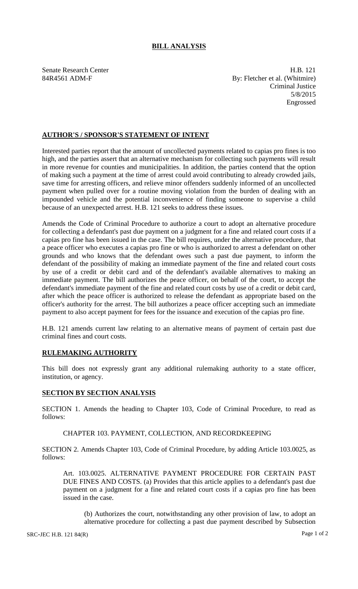# **BILL ANALYSIS**

Senate Research Center **H.B.** 121 84R4561 ADM-F By: Fletcher et al. (Whitmire) Criminal Justice 5/8/2015 Engrossed

## **AUTHOR'S / SPONSOR'S STATEMENT OF INTENT**

Interested parties report that the amount of uncollected payments related to capias pro fines is too high, and the parties assert that an alternative mechanism for collecting such payments will result in more revenue for counties and municipalities. In addition, the parties contend that the option of making such a payment at the time of arrest could avoid contributing to already crowded jails, save time for arresting officers, and relieve minor offenders suddenly informed of an uncollected payment when pulled over for a routine moving violation from the burden of dealing with an impounded vehicle and the potential inconvenience of finding someone to supervise a child because of an unexpected arrest. H.B. 121 seeks to address these issues.

Amends the Code of Criminal Procedure to authorize a court to adopt an alternative procedure for collecting a defendant's past due payment on a judgment for a fine and related court costs if a capias pro fine has been issued in the case. The bill requires, under the alternative procedure, that a peace officer who executes a capias pro fine or who is authorized to arrest a defendant on other grounds and who knows that the defendant owes such a past due payment, to inform the defendant of the possibility of making an immediate payment of the fine and related court costs by use of a credit or debit card and of the defendant's available alternatives to making an immediate payment. The bill authorizes the peace officer, on behalf of the court, to accept the defendant's immediate payment of the fine and related court costs by use of a credit or debit card, after which the peace officer is authorized to release the defendant as appropriate based on the officer's authority for the arrest. The bill authorizes a peace officer accepting such an immediate payment to also accept payment for fees for the issuance and execution of the capias pro fine.

H.B. 121 amends current law relating to an alternative means of payment of certain past due criminal fines and court costs.

### **RULEMAKING AUTHORITY**

This bill does not expressly grant any additional rulemaking authority to a state officer, institution, or agency.

### **SECTION BY SECTION ANALYSIS**

SECTION 1. Amends the heading to Chapter 103, Code of Criminal Procedure, to read as follows:

#### CHAPTER 103. PAYMENT, COLLECTION, AND RECORDKEEPING

SECTION 2. Amends Chapter 103, Code of Criminal Procedure, by adding Article 103.0025, as follows:

Art. 103.0025. ALTERNATIVE PAYMENT PROCEDURE FOR CERTAIN PAST DUE FINES AND COSTS. (a) Provides that this article applies to a defendant's past due payment on a judgment for a fine and related court costs if a capias pro fine has been issued in the case.

(b) Authorizes the court, notwithstanding any other provision of law, to adopt an alternative procedure for collecting a past due payment described by Subsection